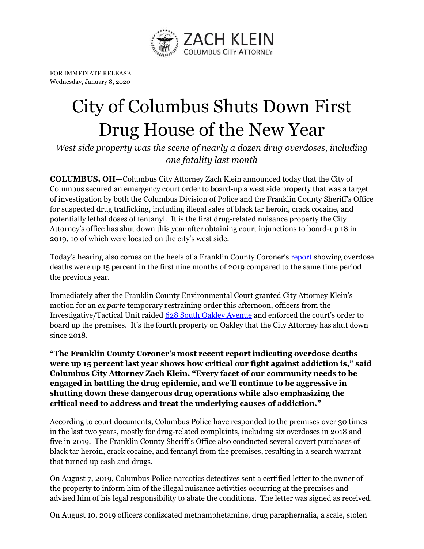

FOR IMMEDIATE RELEASE Wednesday, January 8, 2020

## City of Columbus Shuts Down First Drug House of the New Year

*West side property was the scene of nearly a dozen drug overdoses, including one fatality last month*

**COLUMBUS, OH—**Columbus City Attorney Zach Klein announced today that the City of Columbus secured an emergency court order to board-up a west side property that was a target of investigation by both the Columbus Division of Police and the Franklin County Sheriff's Office for suspected drug trafficking, including illegal sales of black tar heroin, crack cocaine, and potentially lethal doses of fentanyl. It is the first drug-related nuisance property the City Attorney's office has shut down this year after obtaining court injunctions to board-up 18 in 2019, 10 of which were located on the city's west side.

Today's hearing also comes on the heels of a Franklin County Coroner's [report](https://www.dispatch.com/news/20200106/drug-overdose-deaths-up-15-in-franklin-county-for-first-nine-months-of-2019-coroner-reports) showing overdose deaths were up 15 percent in the first nine months of 2019 compared to the same time period the previous year.

Immediately after the Franklin County Environmental Court granted City Attorney Klein's motion for an *ex parte* temporary restraining order this afternoon, officers from the Investigative/Tactical Unit raide[d 628 South Oakley Avenue](https://www.google.com/maps/place/628+S+Oakley+Ave,+Columbus,+OH+43204/@39.94248,-83.0634322,17z/data=!3m1!4b1!4m5!3m4!1s0x88388ff48745ae8d:0x33a51770f36b6bc8!8m2!3d39.94248!4d-83.0612435) and enforced the court's order to board up the premises. It's the fourth property on Oakley that the City Attorney has shut down since 2018.

**"The Franklin County Coroner's most recent report indicating overdose deaths were up 15 percent last year shows how critical our fight against addiction is," said Columbus City Attorney Zach Klein. "Every facet of our community needs to be engaged in battling the drug epidemic, and we'll continue to be aggressive in shutting down these dangerous drug operations while also emphasizing the critical need to address and treat the underlying causes of addiction."**

According to court documents, Columbus Police have responded to the premises over 30 times in the last two years, mostly for drug-related complaints, including six overdoses in 2018 and five in 2019. The Franklin County Sheriff's Office also conducted several covert purchases of black tar heroin, crack cocaine, and fentanyl from the premises, resulting in a search warrant that turned up cash and drugs.

On August 7, 2019, Columbus Police narcotics detectives sent a certified letter to the owner of the property to inform him of the illegal nuisance activities occurring at the premises and advised him of his legal responsibility to abate the conditions. The letter was signed as received.

On August 10, 2019 officers confiscated methamphetamine, drug paraphernalia, a scale, stolen